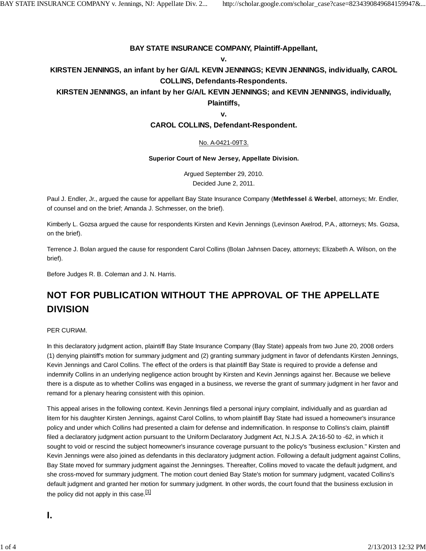## **BAY STATE INSURANCE COMPANY, Plaintiff-Appellant,**

#### **v.**

**KIRSTEN JENNINGS, an infant by her G/A/L KEVIN JENNINGS; KEVIN JENNINGS, individually, CAROL COLLINS, Defendants-Respondents.**

# **KIRSTEN JENNINGS, an infant by her G/A/L KEVIN JENNINGS; and KEVIN JENNINGS, individually,**

**Plaintiffs,**

#### **v.**

## **CAROL COLLINS, Defendant-Respondent.**

## No. A-0421-09T3.

#### **Superior Court of New Jersey, Appellate Division.**

Argued September 29, 2010. Decided June 2, 2011.

Paul J. Endler, Jr., argued the cause for appellant Bay State Insurance Company (**Methfessel** & **Werbel**, attorneys; Mr. Endler, of counsel and on the brief; Amanda J. Schmesser, on the brief).

Kimberly L. Gozsa argued the cause for respondents Kirsten and Kevin Jennings (Levinson Axelrod, P.A., attorneys; Ms. Gozsa, on the brief).

Terrence J. Bolan argued the cause for respondent Carol Collins (Bolan Jahnsen Dacey, attorneys; Elizabeth A. Wilson, on the brief).

Before Judges R. B. Coleman and J. N. Harris.

# **NOT FOR PUBLICATION WITHOUT THE APPROVAL OF THE APPELLATE DIVISION**

## PER CURIAM.

In this declaratory judgment action, plaintiff Bay State Insurance Company (Bay State) appeals from two June 20, 2008 orders (1) denying plaintiff's motion for summary judgment and (2) granting summary judgment in favor of defendants Kirsten Jennings, Kevin Jennings and Carol Collins. The effect of the orders is that plaintiff Bay State is required to provide a defense and indemnify Collins in an underlying negligence action brought by Kirsten and Kevin Jennings against her. Because we believe there is a dispute as to whether Collins was engaged in a business, we reverse the grant of summary judgment in her favor and remand for a plenary hearing consistent with this opinion.

This appeal arises in the following context. Kevin Jennings filed a personal injury complaint, individually and as guardian ad litem for his daughter Kirsten Jennings, against Carol Collins, to whom plaintiff Bay State had issued a homeowner's insurance policy and under which Collins had presented a claim for defense and indemnification. In response to Collins's claim, plaintiff filed a declaratory judgment action pursuant to the Uniform Declaratory Judgment Act, N.J.S.A. 2A:16-50 to -62, in which it sought to void or rescind the subject homeowner's insurance coverage pursuant to the policy's "business exclusion." Kirsten and Kevin Jennings were also joined as defendants in this declaratory judgment action. Following a default judgment against Collins, Bay State moved for summary judgment against the Jenningses. Thereafter, Collins moved to vacate the default judgment, and she cross-moved for summary judgment. The motion court denied Bay State's motion for summary judgment, vacated Collins's default judgment and granted her motion for summary judgment. In other words, the court found that the business exclusion in the policy did not apply in this case.  $[1]$ 

**I.**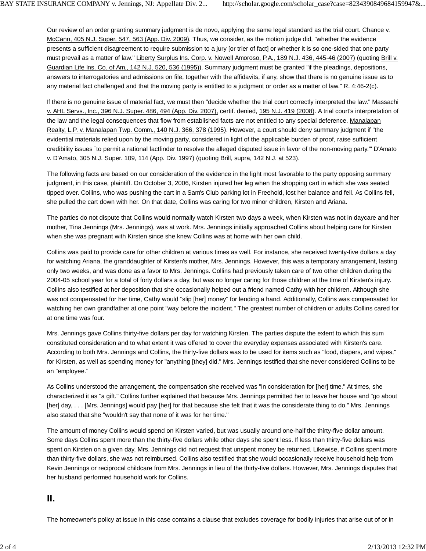Our review of an order granting summary judgment is de novo, applying the same legal standard as the trial court. Chance v. McCann, 405 N.J. Super. 547, 563 (App. Div. 2009). Thus, we consider, as the motion judge did, "whether the evidence presents a sufficient disagreement to require submission to a jury [or trier of fact] or whether it is so one-sided that one party must prevail as a matter of law." Liberty Surplus Ins. Corp. v. Nowell Amoroso, P.A., 189 N.J. 436, 445-46 (2007) (quoting Brill v. Guardian Life Ins. Co. of Am., 142 N.J. 520, 536 (1995)). Summary judgment must be granted "if the pleadings, depositions, answers to interrogatories and admissions on file, together with the affidavits, if any, show that there is no genuine issue as to any material fact challenged and that the moving party is entitled to a judgment or order as a matter of law." R. 4:46-2(c).

If there is no genuine issue of material fact, we must then "decide whether the trial court correctly interpreted the law." Massachi v. AHL Servs., Inc., 396 N.J. Super. 486, 494 (App. Div. 2007), certif. denied, 195 N.J. 419 (2008). A trial court's interpretation of the law and the legal consequences that flow from established facts are not entitled to any special deference. Manalapan Realty, L.P. v. Manalapan Twp. Comm., 140 N.J. 366, 378 (1995). However, a court should deny summary judgment if "the evidential materials relied upon by the moving party, considered in light of the applicable burden of proof, raise sufficient credibility issues `to permit a rational factfinder to resolve the alleged disputed issue in favor of the non-moving party.'" D'Amato v. D'Amato, 305 N.J. Super. 109, 114 (App. Div. 1997) (quoting Brill, supra, 142 N.J. at 523).

The following facts are based on our consideration of the evidence in the light most favorable to the party opposing summary judgment, in this case, plaintiff. On October 3, 2006, Kirsten injured her leg when the shopping cart in which she was seated tipped over. Collins, who was pushing the cart in a Sam's Club parking lot in Freehold, lost her balance and fell. As Collins fell, she pulled the cart down with her. On that date, Collins was caring for two minor children, Kirsten and Ariana.

The parties do not dispute that Collins would normally watch Kirsten two days a week, when Kirsten was not in daycare and her mother, Tina Jennings (Mrs. Jennings), was at work. Mrs. Jennings initially approached Collins about helping care for Kirsten when she was pregnant with Kirsten since she knew Collins was at home with her own child.

Collins was paid to provide care for other children at various times as well. For instance, she received twenty-five dollars a day for watching Ariana, the granddaughter of Kirsten's mother, Mrs. Jennings. However, this was a temporary arrangement, lasting only two weeks, and was done as a favor to Mrs. Jennings. Collins had previously taken care of two other children during the 2004-05 school year for a total of forty dollars a day, but was no longer caring for those children at the time of Kirsten's injury. Collins also testified at her deposition that she occasionally helped out a friend named Cathy with her children. Although she was not compensated for her time, Cathy would "slip [her] money" for lending a hand. Additionally, Collins was compensated for watching her own grandfather at one point "way before the incident." The greatest number of children or adults Collins cared for at one time was four.

Mrs. Jennings gave Collins thirty-five dollars per day for watching Kirsten. The parties dispute the extent to which this sum constituted consideration and to what extent it was offered to cover the everyday expenses associated with Kirsten's care. According to both Mrs. Jennings and Collins, the thirty-five dollars was to be used for items such as "food, diapers, and wipes," for Kirsten, as well as spending money for "anything [they] did." Mrs. Jennings testified that she never considered Collins to be an "employee."

As Collins understood the arrangement, the compensation she received was "in consideration for [her] time." At times, she characterized it as "a gift." Collins further explained that because Mrs. Jennings permitted her to leave her house and "go about [her] day, ... [Mrs. Jennings] would pay [her] for that because she felt that it was the considerate thing to do." Mrs. Jennings also stated that she "wouldn't say that none of it was for her time."

The amount of money Collins would spend on Kirsten varied, but was usually around one-half the thirty-five dollar amount. Some days Collins spent more than the thirty-five dollars while other days she spent less. If less than thirty-five dollars was spent on Kirsten on a given day, Mrs. Jennings did not request that unspent money be returned. Likewise, if Collins spent more than thirty-five dollars, she was not reimbursed. Collins also testified that she would occasionally receive household help from Kevin Jennings or reciprocal childcare from Mrs. Jennings in lieu of the thirty-five dollars. However, Mrs. Jennings disputes that her husband performed household work for Collins.

# **II.**

The homeowner's policy at issue in this case contains a clause that excludes coverage for bodily injuries that arise out of or in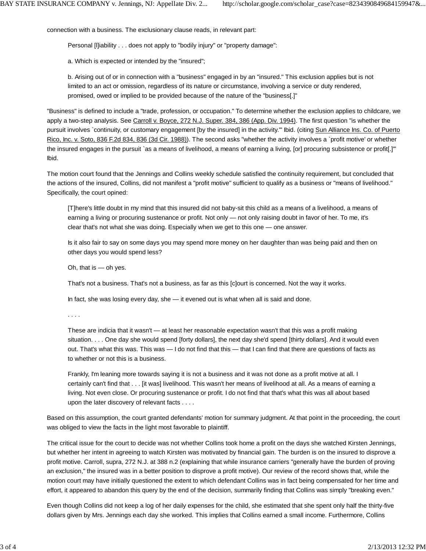connection with a business. The exclusionary clause reads, in relevant part:

Personal [I]iability . . . does not apply to "bodily injury" or "property damage":

a. Which is expected or intended by the "insured";

b. Arising out of or in connection with a "business" engaged in by an "insured." This exclusion applies but is not limited to an act or omission, regardless of its nature or circumstance, involving a service or duty rendered, promised, owed or implied to be provided because of the nature of the "business[.]"

"Business" is defined to include a "trade, profession, or occupation." To determine whether the exclusion applies to childcare, we apply a two-step analysis. See Carroll v. Boyce, 272 N.J. Super. 384, 386 (App. Div. 1994). The first question "is whether the pursuit involves `continuity, or customary engagement [by the insured] in the activity." Ibid. (citing Sun Alliance Ins. Co. of Puerto Rico, Inc. v. Soto, 836 F.2d 834, 836 (3d Cir. 1988)). The second asks "whether the activity involves a `profit motive' or whether the insured engages in the pursuit `as a means of livelihood, a means of earning a living, [or] procuring subsistence or profit[.]'" Ibid.

The motion court found that the Jennings and Collins weekly schedule satisfied the continuity requirement, but concluded that the actions of the insured, Collins, did not manifest a "profit motive" sufficient to qualify as a business or "means of livelihood." Specifically, the court opined:

[T]here's little doubt in my mind that this insured did not baby-sit this child as a means of a livelihood, a means of earning a living or procuring sustenance or profit. Not only — not only raising doubt in favor of her. To me, it's clear that's not what she was doing. Especially when we get to this one — one answer.

Is it also fair to say on some days you may spend more money on her daughter than was being paid and then on other days you would spend less?

Oh, that is — oh yes.

That's not a business. That's not a business, as far as this [c]ourt is concerned. Not the way it works.

In fact, she was losing every day, she — it evened out is what when all is said and done.

. . . .

These are indicia that it wasn't — at least her reasonable expectation wasn't that this was a profit making situation. . . . One day she would spend [forty dollars], the next day she'd spend [thirty dollars]. And it would even out. That's what this was. This was — I do not find that this — that I can find that there are questions of facts as to whether or not this is a business.

Frankly, I'm leaning more towards saying it is not a business and it was not done as a profit motive at all. I certainly can't find that . . . [it was] livelihood. This wasn't her means of livelihood at all. As a means of earning a living. Not even close. Or procuring sustenance or profit. I do not find that that's what this was all about based upon the later discovery of relevant facts . . . .

Based on this assumption, the court granted defendants' motion for summary judgment. At that point in the proceeding, the court was obliged to view the facts in the light most favorable to plaintiff.

The critical issue for the court to decide was not whether Collins took home a profit on the days she watched Kirsten Jennings, but whether her intent in agreeing to watch Kirsten was motivated by financial gain. The burden is on the insured to disprove a profit motive. Carroll, supra, 272 N.J. at 388 n.2 (explaining that while insurance carriers "generally have the burden of proving an exclusion," the insured was in a better position to disprove a profit motive). Our review of the record shows that, while the motion court may have initially questioned the extent to which defendant Collins was in fact being compensated for her time and effort, it appeared to abandon this query by the end of the decision, summarily finding that Collins was simply "breaking even."

Even though Collins did not keep a log of her daily expenses for the child, she estimated that she spent only half the thirty-five dollars given by Mrs. Jennings each day she worked. This implies that Collins earned a small income. Furthermore, Collins